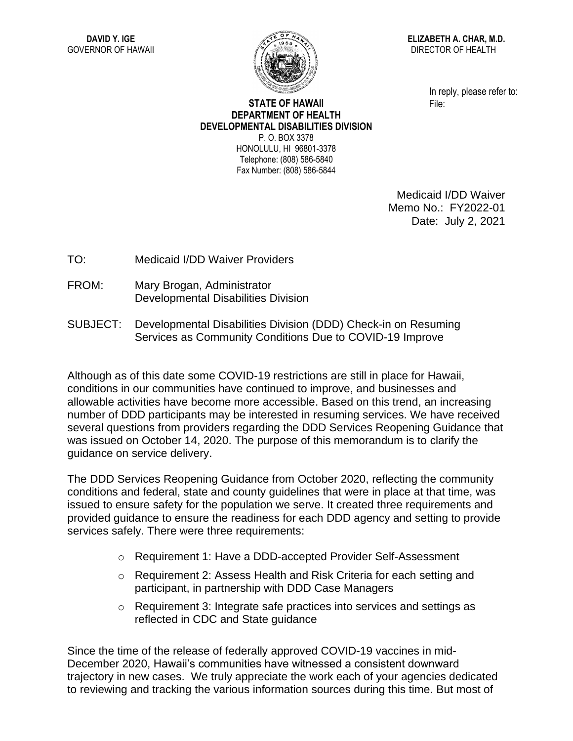

**ELIZABETH A. CHAR, M.D.** DIRECTOR OF HEALTH

> In reply, please refer to: File:

## **STATE OF HAWAII DEPARTMENT OF HEALTH DEVELOPMENTAL DISABILITIES DIVISION** P. O. BOX 3378 HONOLULU, HI 96801-3378

Telephone: (808) 586-5840 Fax Number: (808) 586-5844

> Medicaid I/DD Waiver Memo No.: FY2022-01 Date: July 2, 2021

TO: Medicaid I/DD Waiver Providers

- FROM: Mary Brogan, Administrator Developmental Disabilities Division
- SUBJECT: Developmental Disabilities Division (DDD) Check-in on Resuming Services as Community Conditions Due to COVID-19 Improve

Although as of this date some COVID-19 restrictions are still in place for Hawaii, conditions in our communities have continued to improve, and businesses and allowable activities have become more accessible. Based on this trend, an increasing number of DDD participants may be interested in resuming services. We have received several questions from providers regarding the DDD Services Reopening Guidance that was issued on October 14, 2020. The purpose of this memorandum is to clarify the guidance on service delivery.

The DDD Services Reopening Guidance from October 2020, reflecting the community conditions and federal, state and county guidelines that were in place at that time, was issued to ensure safety for the population we serve. It created three requirements and provided guidance to ensure the readiness for each DDD agency and setting to provide services safely. There were three requirements:

- o Requirement 1: Have a DDD-accepted Provider Self-Assessment
- $\circ$  Requirement 2: Assess Health and Risk Criteria for each setting and participant, in partnership with DDD Case Managers
- $\circ$  Requirement 3: Integrate safe practices into services and settings as reflected in CDC and State guidance

Since the time of the release of federally approved COVID-19 vaccines in mid-December 2020, Hawaii's communities have witnessed a consistent downward trajectory in new cases. We truly appreciate the work each of your agencies dedicated to reviewing and tracking the various information sources during this time. But most of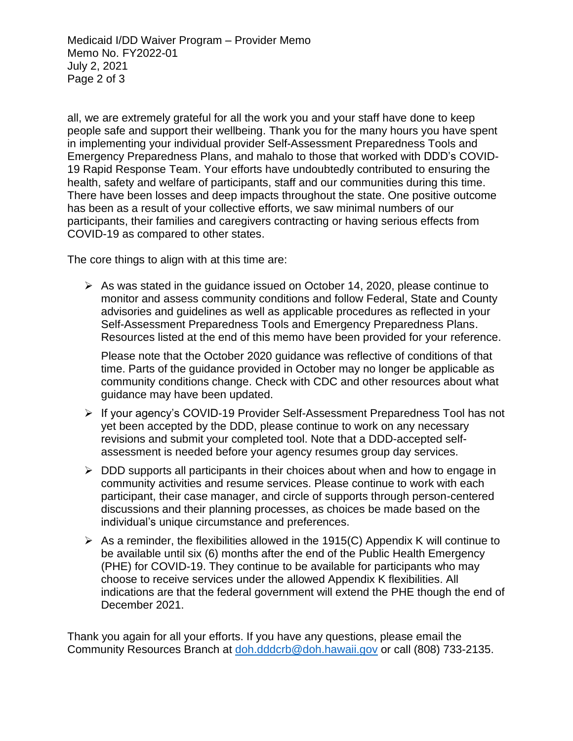Medicaid I/DD Waiver Program – Provider Memo Memo No. FY2022-01 July 2, 2021 Page 2 of 3

all, we are extremely grateful for all the work you and your staff have done to keep people safe and support their wellbeing. Thank you for the many hours you have spent in implementing your individual provider Self-Assessment Preparedness Tools and Emergency Preparedness Plans, and mahalo to those that worked with DDD's COVID-19 Rapid Response Team. Your efforts have undoubtedly contributed to ensuring the health, safety and welfare of participants, staff and our communities during this time. There have been losses and deep impacts throughout the state. One positive outcome has been as a result of your collective efforts, we saw minimal numbers of our participants, their families and caregivers contracting or having serious effects from COVID-19 as compared to other states.

The core things to align with at this time are:

➢ As was stated in the guidance issued on October 14, 2020, please continue to monitor and assess community conditions and follow Federal, State and County advisories and guidelines as well as applicable procedures as reflected in your Self-Assessment Preparedness Tools and Emergency Preparedness Plans. Resources listed at the end of this memo have been provided for your reference.

Please note that the October 2020 guidance was reflective of conditions of that time. Parts of the guidance provided in October may no longer be applicable as community conditions change. Check with CDC and other resources about what guidance may have been updated.

- ➢ If your agency's COVID-19 Provider Self-Assessment Preparedness Tool has not yet been accepted by the DDD, please continue to work on any necessary revisions and submit your completed tool. Note that a DDD-accepted selfassessment is needed before your agency resumes group day services.
- ➢ DDD supports all participants in their choices about when and how to engage in community activities and resume services. Please continue to work with each participant, their case manager, and circle of supports through person-centered discussions and their planning processes, as choices be made based on the individual's unique circumstance and preferences.
- $\triangleright$  As a reminder, the flexibilities allowed in the 1915(C) Appendix K will continue to be available until six (6) months after the end of the Public Health Emergency (PHE) for COVID-19. They continue to be available for participants who may choose to receive services under the allowed Appendix K flexibilities. All indications are that the federal government will extend the PHE though the end of December 2021.

Thank you again for all your efforts. If you have any questions, please email the Community Resources Branch at [doh.dddcrb@doh.hawaii.gov](mailto:doh.dddcrb@doh.hawaii.gov) or call (808) 733-2135.